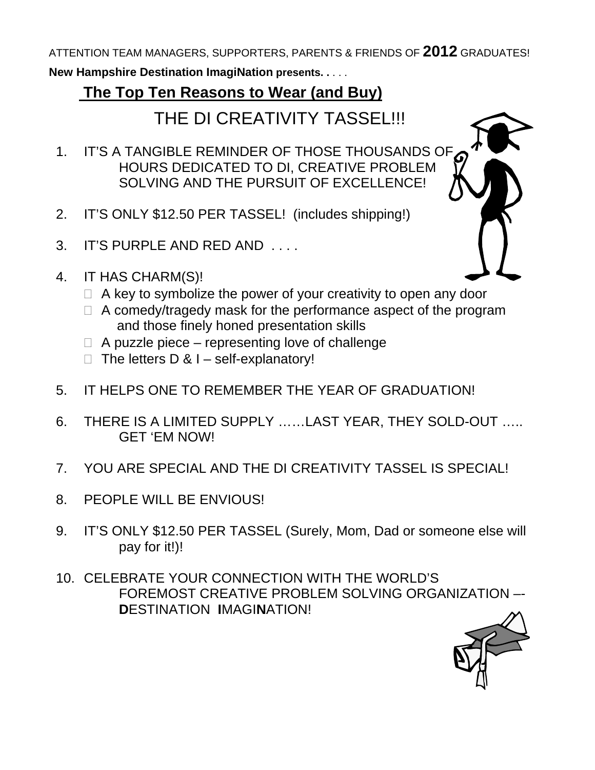ATTENTION TEAM MANAGERS, SUPPORTERS, PARENTS & FRIENDS OF **2012** GRADUATES!

**New Hampshire Destination ImagiNation presents. .** . . .

## **The Top Ten Reasons to Wear (and Buy)**

THE DI CREATIVITY TASSEL!!!

- 1. IT'S A TANGIBLE REMINDER OF THOSE THOUSANDS OF HOURS DEDICATED TO DI, CREATIVE PROBLEM SOLVING AND THE PURSUIT OF EXCELLENCE!
- 2. IT'S ONLY \$12.50 PER TASSEL! (includes shipping!)
- 3. IT'S PURPLE AND RED AND . . . .
- 4. IT HAS CHARM(S)!
	- $\Box$  A key to symbolize the power of your creativity to open any door
	- $\Box$  A comedy/tragedy mask for the performance aspect of the program and those finely honed presentation skills
	- $\Box$  A puzzle piece representing love of challenge
	- $\Box$  The letters D & I self-explanatory!
- 5. IT HELPS ONE TO REMEMBER THE YEAR OF GRADUATION!
- 6. THERE IS A LIMITED SUPPLY ……LAST YEAR, THEY SOLD-OUT ….. GET 'EM NOW!
- 7. YOU ARE SPECIAL AND THE DI CREATIVITY TASSEL IS SPECIAL!
- 8. PEOPLE WILL BE ENVIOUS!
- 9. IT'S ONLY \$12.50 PER TASSEL (Surely, Mom, Dad or someone else will pay for it!)!
- 10. CELEBRATE YOUR CONNECTION WITH THE WORLD'S FOREMOST CREATIVE PROBLEM SOLVING ORGANIZATION –- **D**ESTINATION **I**MAGI**N**ATION!